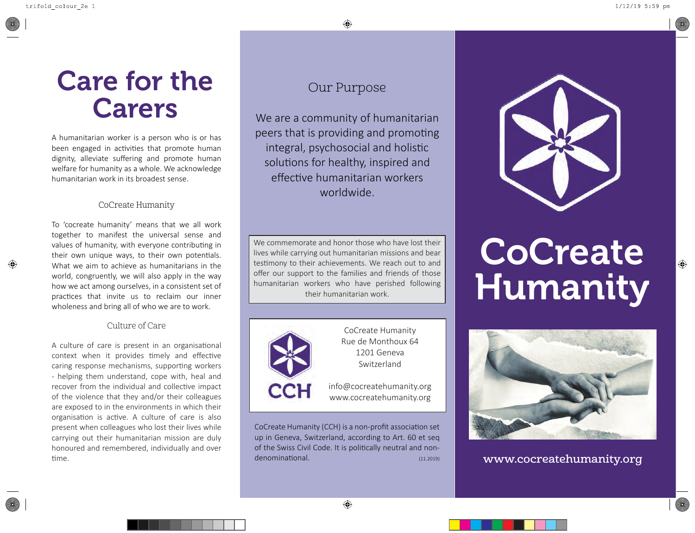## **Care for the Carers**

A humanitarian worker is a person who is or has been engaged in activities that promote human dignity, alleviate suffering and promote human welfare for humanity as a whole. We acknowledge humanitarian work in its broadest sense.

#### CoCreate Humanity

To 'cocreate humanity' means that we all work together to manifest the universal sense and values of humanity, with everyone contributing in their own unique ways, to their own potentials. What we aim to achieve as humanitarians in the world, congruently, we will also apply in the way how we act among ourselves, in a consistent set of prac�ces that invite us to reclaim our inner wholeness and bring all of who we are to work.

#### Culture of Care

A culture of care is present in an organisational context when it provides timely and effective caring response mechanisms, supporting workers - helping them understand, cope with, heal and recover from the individual and collective impact of the violence that they and/or their colleagues are exposed to in the environments in which their organisation is active. A culture of care is also present when colleagues who lost their lives while carrying out their humanitarian mission are duly honoured and remembered, individually and over �me.

#### Our Purpose

We are a community of humanitarian peers that is providing and promoting integral, psychosocial and holistic solutions for healthy, inspired and effec�ve humanitarian workers worldwide.

We commemorate and honor those who have lost their lives while carrying out humanitarian missions and bear testimony to their achievements. We reach out to and offer our support to the families and friends of those humanitarian workers who have perished following their humanitarian work.



CoCreate Humanity Rue de Monthoux 64 1201 Geneva Switzerland

info@cocreatehumanity.org www.cocreatehumanity.org

CoCreate Humanity (CCH) is a non-profit association set up in Geneva, Switzerland, according to Art. 60 et seq of the Swiss Civil Code. It is politically neutral and nondenominational. (11.2019)



# **CoCreate Humanity**



**www.cocreatehumanity.org**